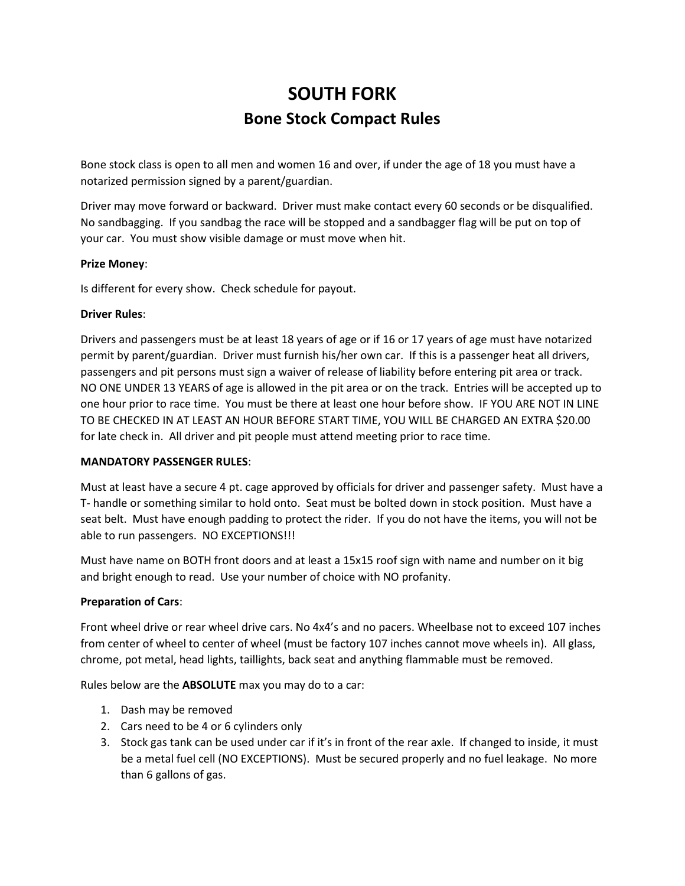# **SOUTH FORK Bone Stock Compact Rules**

Bone stock class is open to all men and women 16 and over, if under the age of 18 you must have a notarized permission signed by a parent/guardian.

Driver may move forward or backward. Driver must make contact every 60 seconds or be disqualified. No sandbagging. If you sandbag the race will be stopped and a sandbagger flag will be put on top of your car. You must show visible damage or must move when hit.

## **Prize Money**:

Is different for every show. Check schedule for payout.

### **Driver Rules**:

Drivers and passengers must be at least 18 years of age or if 16 or 17 years of age must have notarized permit by parent/guardian. Driver must furnish his/her own car. If this is a passenger heat all drivers, passengers and pit persons must sign a waiver of release of liability before entering pit area or track. NO ONE UNDER 13 YEARS of age is allowed in the pit area or on the track. Entries will be accepted up to one hour prior to race time. You must be there at least one hour before show. IF YOU ARE NOT IN LINE TO BE CHECKED IN AT LEAST AN HOUR BEFORE START TIME, YOU WILL BE CHARGED AN EXTRA \$20.00 for late check in. All driver and pit people must attend meeting prior to race time.

## **MANDATORY PASSENGER RULES**:

Must at least have a secure 4 pt. cage approved by officials for driver and passenger safety. Must have a T- handle or something similar to hold onto. Seat must be bolted down in stock position. Must have a seat belt. Must have enough padding to protect the rider. If you do not have the items, you will not be able to run passengers. NO EXCEPTIONS!!!

Must have name on BOTH front doors and at least a 15x15 roof sign with name and number on it big and bright enough to read. Use your number of choice with NO profanity.

#### **Preparation of Cars**:

Front wheel drive or rear wheel drive cars. No 4x4's and no pacers. Wheelbase not to exceed 107 inches from center of wheel to center of wheel (must be factory 107 inches cannot move wheels in). All glass, chrome, pot metal, head lights, taillights, back seat and anything flammable must be removed.

Rules below are the **ABSOLUTE** max you may do to a car:

- 1. Dash may be removed
- 2. Cars need to be 4 or 6 cylinders only
- 3. Stock gas tank can be used under car if it's in front of the rear axle. If changed to inside, it must be a metal fuel cell (NO EXCEPTIONS). Must be secured properly and no fuel leakage. No more than 6 gallons of gas.